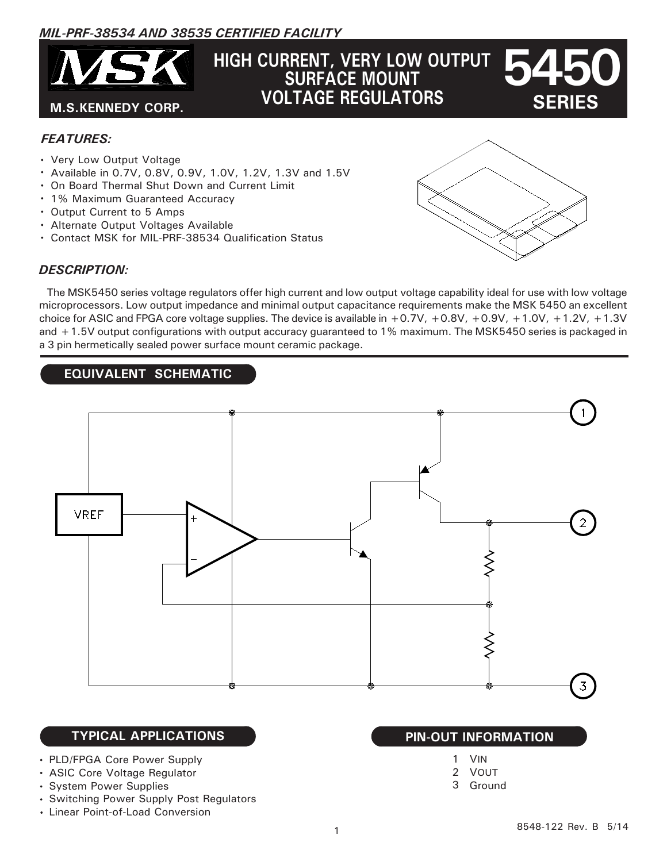# *MIL-PRF-38534 AND 38535 CERTIFIED FACILITY*



# **5450 HIGH CURRENT, VERY LOW OUTPUT SURFACE MOUNT VOLTAGE REGULATORS**

# *FEATURES:*

- Very Low Output Voltage
- Available in 0.7V, 0.8V, 0.9V, 1.0V, 1.2V, 1.3V and 1.5V
- On Board Thermal Shut Down and Current Limit
- 1% Maximum Guaranteed Accuracy
- Output Current to 5 Amps
- Alternate Output Voltages Available
- Contact MSK for MIL-PRF-38534 Qualification Status

a 3 pin hermetically sealed power surface mount ceramic package.

# *DESCRIPTION:*



**EQUIVALENT SCHEMATIC**



#### **TYPICAL APPLICATIONS PIN-OUT INFORMATION**

- PLD/FPGA Core Power Supply
- ASIC Core Voltage Regulator
- System Power Supplies
- Switching Power Supply Post Regulators
- Linear Point-of-Load Conversion

- VIN 1
- 2 VOUT
- Ground 3

 **SERIES**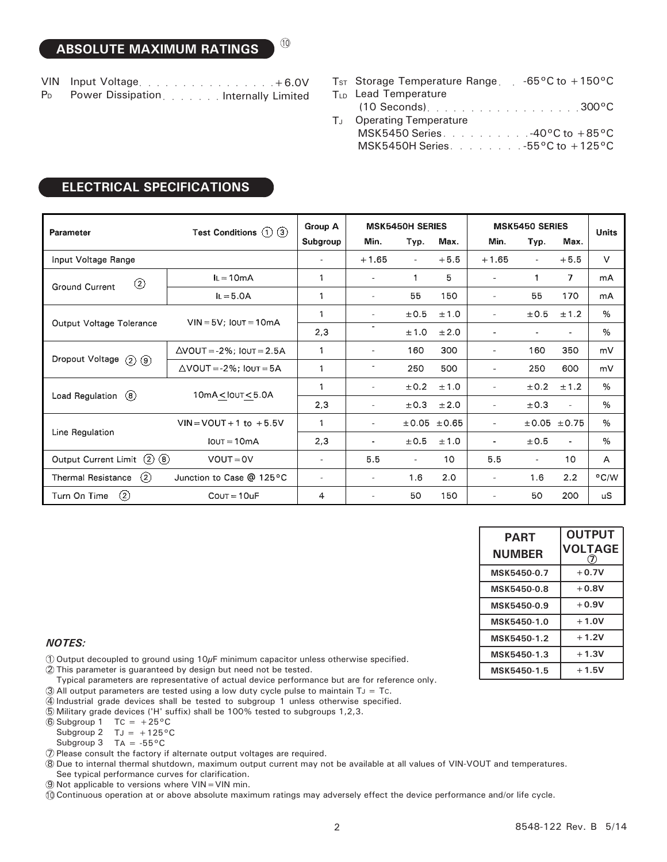VIN Input Voltage. . . . . . . . . . . . . . . . . +6.0V

- Power Dissipation . . . . . . . Internally Limited P<sub>D</sub>
- $\mathsf{T}_{\texttt{ST}}$  Storage Temperature Range et  $\mathsf{C}$  -65°C to +150°C
- T<sub>LD</sub> Lead Temperature
- TJ Operating Temperature 300°C (10 Seconds) ○○○○○○○○○○○○○○○○○○
- MSK5450 Series.  $\ldots$   $\ldots$   $\ldots$   $\ldots$   $\sim$  -40°C to  $+85^{\circ}$ C MSK5450H Series.  $\ldots$   $\ldots$   $\ldots$   $\sim$  -55°C to  $+125$ °C

| Parameter                              | Test Conditions $(1)$ $(3)$         | Group A               | <b>MSK5450H SERIES</b>   |                          |             | <b>MSK5450 SERIES</b>    |                          |                | <b>Units</b>  |
|----------------------------------------|-------------------------------------|-----------------------|--------------------------|--------------------------|-------------|--------------------------|--------------------------|----------------|---------------|
|                                        |                                     | Subgroup              | Min.                     | Typ.                     | Max.        | Min.                     | Typ.                     | Max.           |               |
| Input Voltage Range                    |                                     |                       | $+1.65$                  | $\overline{\phantom{a}}$ | $+5.5$      | $+1.65$                  | $\overline{\phantom{a}}$ | $+5.5$         | $\vee$        |
| $\circled{2}$<br><b>Ground Current</b> | $I_L = 10mA$                        | 1                     | ٠                        | 1                        | 5.          | $\overline{\phantom{a}}$ | 1                        | $\overline{ }$ | mA            |
|                                        | $IL = 5.0A$                         |                       | $\overline{\phantom{a}}$ | 55                       | 150         | $\overline{\phantom{a}}$ | 55                       | 170            | mA            |
|                                        | $VIN = 5V$ ; $IOUT = 10mA$          | $\mathbf{1}$          | ۰                        | ±0.5                     | ±1.0        | $\overline{a}$           | ±0.5                     | ±1.2           | %             |
| Output Voltage Tolerance               |                                     | 2,3                   | ۰                        | ±1.0                     | ±2.0        | ٠                        |                          | ä.             | $\%$          |
| Dropout Voltage<br>$(2)$ $(9)$         | $\triangle$ VOUT = -2%; IOUT = 2.5A | $\mathbf{1}$          | $\frac{1}{2}$            | 160                      | 300         | $\overline{\phantom{a}}$ | 160                      | 350            | mV            |
|                                        | $\triangle$ VOUT = -2%; IOUT = 5A   | $\mathbf{1}$          | $\overline{\phantom{a}}$ | 250                      | 500         | $\overline{\phantom{a}}$ | 250                      | 600            | mV            |
|                                        | $10mA <$ IOUT $<$ 5.0A              |                       | ۰                        | ±0.2                     | ±1.0        | $\overline{\phantom{a}}$ | ±0.2                     | ±1.2           | $\%$          |
| Load Regulation<br>(8)                 |                                     | 2,3                   | $\sim$                   | ±0.3                     | ±2.0        | $\overline{\phantom{a}}$ | ±0.3                     | $\sim$         | $\%$          |
| Line Regulation                        | $VIN = VOUT + 1 to + 5.5V$          | $\mathbf{1}$          | $\overline{\phantom{a}}$ |                          | ±0.05 ±0.65 | $\overline{a}$           |                          | ±0.05 ±0.75    | $\%$          |
|                                        | $IOUT = 10mA$                       | 2,3                   | ۰                        | ±0.5                     | ±1.0        | ٠                        | ±0.5                     | $\blacksquare$ | $\%$          |
| Output Current Limit (2) (8)           | $VOUT = OV$                         | $\sim$                | 5.5                      | $\overline{\phantom{a}}$ | 10          | 5.5                      | $\sim$                   | 10             | A             |
| (2)<br><b>Thermal Resistance</b>       | Junction to Case @ 125°C            | $\tilde{\phantom{a}}$ | $\overline{\phantom{a}}$ | 1.6                      | 2.0         | $\overline{\phantom{a}}$ | 1.6                      | 2.2            | $\degree$ C/W |
| $\circled{2}$<br>Turn On Time          | $C$ OUT = 10uF                      | 4                     | ۰                        | 50                       | 150         | $\overline{\phantom{a}}$ | 50                       | 200            | <b>uS</b>     |

10

| <b>ELECTRICAL SPECIFICATIONS</b> |
|----------------------------------|
|                                  |

| <b>PART</b><br><b>NUMBER</b> | <b>OUTPUT</b><br><b>VOLTAGE</b> |  |  |
|------------------------------|---------------------------------|--|--|
| MSK5450-0.7                  | $+0.7V$                         |  |  |
| MSK5450-0.8                  | $+0.8V$                         |  |  |
| MSK5450-0.9                  | $+0.9V$                         |  |  |
| MSK5450-1.0                  | $+1.0V$                         |  |  |
| MSK5450-1.2                  | $+1.2V$                         |  |  |
| MSK5450-1.3                  | $+1.3V$                         |  |  |
| MSK5450-1.5                  | $+1.5V$                         |  |  |

#### *NOTES:*

 $\mathbb D$  Output decoupled to ground using 10 $\mu$ F minimum capacitor unless otherwise specified.

2 This parameter is guaranteed by design but need not be tested.

- Typical parameters are representative of actual device performance but are for reference only.
- $\widehat{3}$  All output parameters are tested using a low duty cycle pulse to maintain TJ = Tc.
- 4 Industrial grade devices shall be tested to subgroup 1 unless otherwise specified.
- 5 Military grade devices ('H' suffix) shall be 100% tested to subgroups 1,2,3.

 $\textcircled{\scriptsize{6}}$  Subgroup 1 TC = +25 $\textcirc$ C

Subgroup 2  $TJ = +125^{\circ}C$ 

- Subgroup 3 TA =  $-55^{\circ}$ C
- 7 Please consult the factory if alternate output voltages are required.

8 Due to internal thermal shutdown, maximum output current may not be available at all values of VIN-VOUT and temperatures. See typical performance curves for clarification.

9 Not applicable to versions where VIN=VIN min.

10 Continuous operation at or above absolute maximum ratings may adversely effect the device performance and/or life cycle.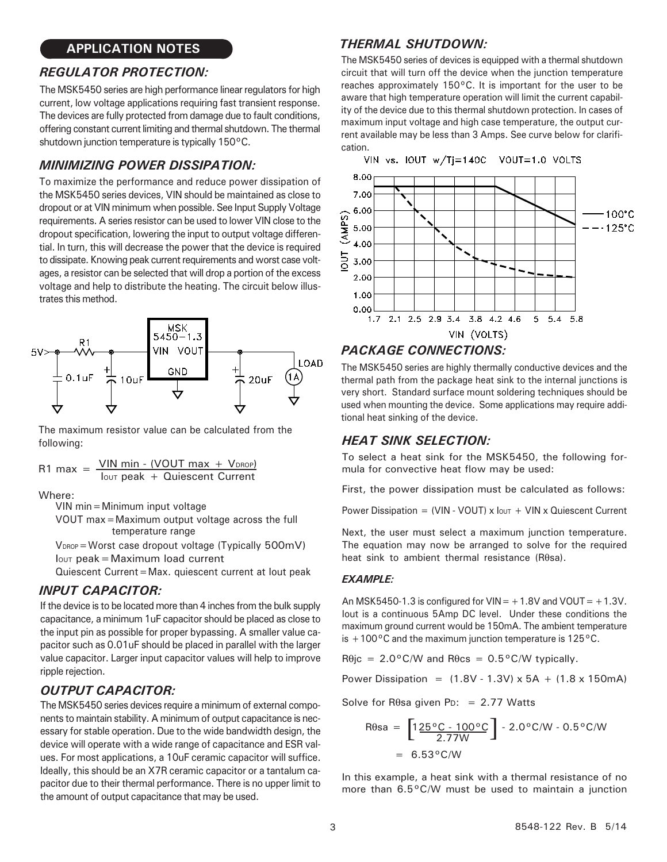# **APPLICATION NOTES**

# *REGULATOR PROTECTION:*

The MSK5450 series are high performance linear regulators for high current, low voltage applications requiring fast transient response. The devices are fully protected from damage due to fault conditions, offering constant current limiting and thermal shutdown. The thermal shutdown junction temperature is typically 150°C.

### *MINIMIZING POWER DISSIPATION:*

To maximize the performance and reduce power dissipation of the MSK5450 series devices, VIN should be maintained as close to dropout or at VIN minimum when possible. See Input Supply Voltage requirements. A series resistor can be used to lower VIN close to the dropout specification, lowering the input to output voltage differential. In turn, this will decrease the power that the device is required to dissipate. Knowing peak current requirements and worst case voltages, a resistor can be selected that will drop a portion of the excess voltage and help to distribute the heating. The circuit below illustrates this method.



The maximum resistor value can be calculated from the following:

R1 max = 
$$
\frac{VIN \text{ min} - (VOUT \text{ max} + V_{DROP})}{\text{low peak} + \text{Quiescent Current}}
$$

Where:

VIN min=Minimum input voltage

temperature range VOUT max=Maximum output voltage across the full

 $V_{DROP}$  = Worst case dropout voltage (Typically 500mV)  $I_{\text{OUT}}$  peak = Maximum load current

Quiescent Current=Max. quiescent current at Iout peak

#### *INPUT CAPACITOR:*

If the device is to be located more than 4 inches from the bulk supply capacitance, a minimum 1uF capacitor should be placed as close to the input pin as possible for proper bypassing. A smaller value capacitor such as 0.01uF should be placed in parallel with the larger value capacitor. Larger input capacitor values will help to improve ripple rejection.

# *OUTPUT CAPACITOR:*

The MSK5450 series devices require a minimum of external components to maintain stability. A minimum of output capacitance is necessary for stable operation. Due to the wide bandwidth design, the device will operate with a wide range of capacitance and ESR values. For most applications, a 10uF ceramic capacitor will suffice. Ideally, this should be an X7R ceramic capacitor or a tantalum capacitor due to their thermal performance. There is no upper limit to the amount of output capacitance that may be used.

#### *THERMAL SHUTDOWN:*

The MSK5450 series of devices is equipped with a thermal shutdown circuit that will turn off the device when the junction temperature reaches approximately 150°C. It is important for the user to be aware that high temperature operation will limit the current capability of the device due to this thermal shutdown protection. In cases of maximum input voltage and high case temperature, the output current available may be less than 3 Amps. See curve below for clarification.



#### *PACKAGE CONNECTIONS:*

The MSK5450 series are highly thermally conductive devices and the thermal path from the package heat sink to the internal junctions is very short. Standard surface mount soldering techniques should be used when mounting the device. Some applications may require additional heat sinking of the device.

#### *HEAT SINK SELECTION:*

To select a heat sink for the MSK5450, the following formula for convective heat flow may be used:

First, the power dissipation must be calculated as follows:

Power Dissipation = (VIN - VOUT) x  $I_{\text{OUT}} + \text{VIN} \times \text{Quiescent Current}$ 

Next, the user must select a maximum junction temperature. The equation may now be arranged to solve for the required heat sink to ambient thermal resistance (Rθsa).

#### *EXAMPLE:*

An MSK5450-1.3 is configured for  $VIN = +1.8V$  and  $VOUT = +1.3V$ . Iout is a continuous 5Amp DC level. Under these conditions the maximum ground current would be 150mA. The ambient temperature is  $+100\degree$ C and the maximum junction temperature is 125 $\degree$ C.

 $R\theta$ jc = 2.0°C/W and  $R\theta$ cs = 0.5°C/W typically.

Power Dissipation =  $(1.8V - 1.3V) \times 5A + (1.8 \times 150m)$ 

Solve for R $\theta$ sa given P<sub>D</sub>: = 2.77 Watts

$$
R\theta sa = \left[1 \frac{25 \,^{\circ}C - 100 \,^{\circ}C}{2.77W} \right] - 2.0 \,^{\circ}C/W - 0.5 \,^{\circ}C/W
$$
  
= 6.53 \,^{\circ}C/W

In this example, a heat sink with a thermal resistance of no more than 6.5°C/W must be used to maintain a junction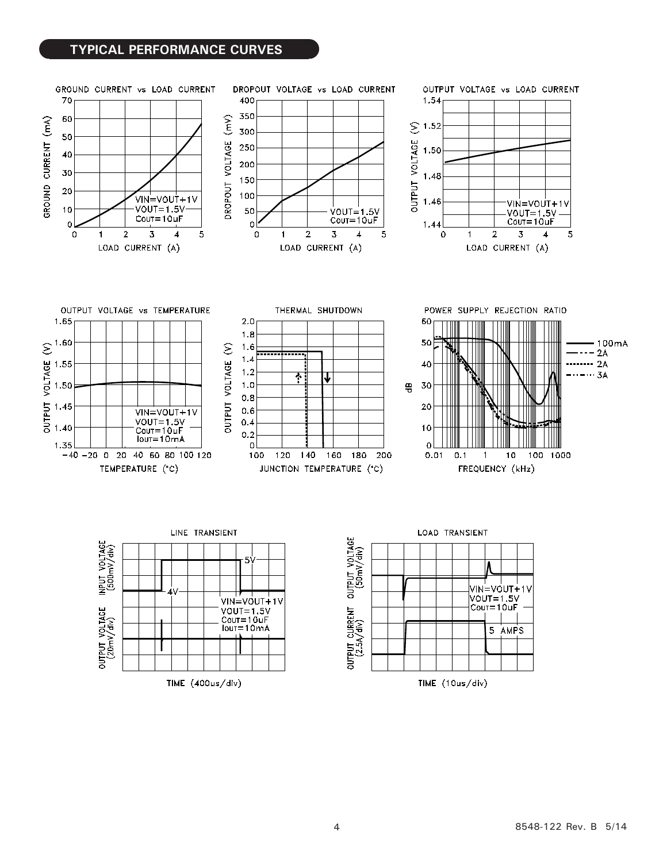#### **TYPICAL PERFORMANCE CURVES**

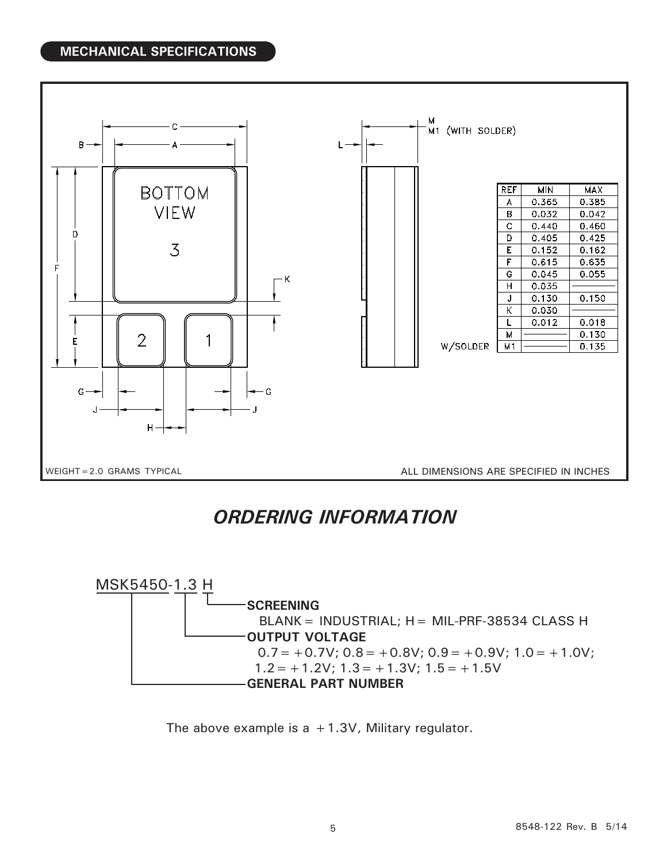# **MECHANICAL SPECIFICATIONS**



# *ORDERING INFORMATION*



The above example is  $a + 1.3V$ , Military regulator.